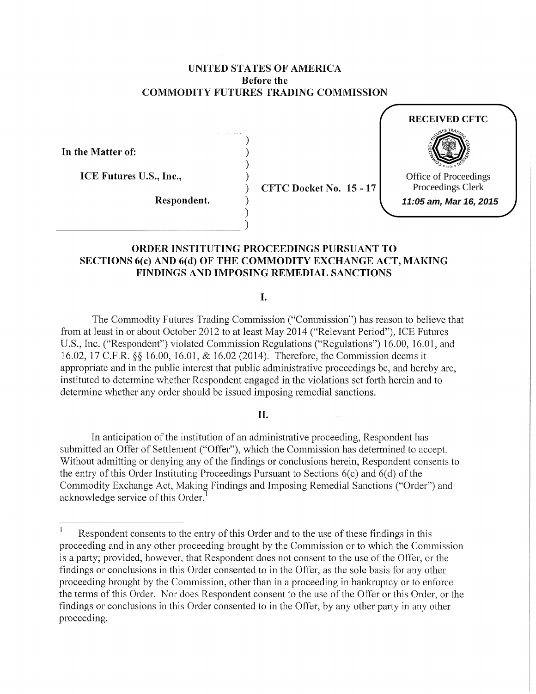## UNITED STATES OF AMERICA Before the COMMODITY FUTURES TRADING COMMISSION

) ) ) )

) )

In the Matter of:

ICE Futures U.S., Inc.,

 $\overline{\phantom{a}}$  )

Respondent.

) CFTC Docket No. 15- 17



# ORDER INSTITUTING PROCEEDINGS PURSUANT TO SECTIONS 6(c) AND 6(d) OF THE COMMODITY EXCHANGE ACT, MAKING FINDINGS AND IMPOSING REMEDIAL SANCTIONS

I.

The Commodity Futures Trading Commission ("Commission") has reason to believe that from at least in or about October 2012 to at least May 2014 ("Relevant Period"), ICE Futures U.S., Inc. ("Respondent") violated Commission Regulations ("Regulations") 16.00, 16.01, and 16.02, 17 C.P.R.§§ 16.00, 16.01, & 16.02 (2014). Therefore, the Commission deems it appropriate and in the public interest that public administrative proceedings be, and hereby are, instituted to determine whether Respondent engaged in the violations set forth herein and to determine whether any order should be issued imposing remedial sanctions.

## II.

In anticipation of the institution of an administrative proceeding, Respondent has submitted an Offer of Settlement ("Offer"), which the Commission has determined to accept. Without admitting or denying any of the findings or conclusions herein, Respondent consents to the entry of this Order Instituting Proceedings Pursuant to Sections 6(c) and 6(d) of the Commodity Exchange Act, Making Findings and Imposing Remedial Sanctions ("Order") and acknowledge service of this Order. <sup>1</sup>

 $\mathbf{1}$ Respondent consents to the entry of this Order and to the use of these findings in this proceeding and in any other proceeding brought by the Commission or to which the Commission is a party; provided, however, that Respondent does not consent to the use of the Offer, or the findings or conclusions in this Order consented to in the Offer, as the sole basis for any other proceeding brought by the Commission, other than in a proceeding in bankruptcy or to enforce the terms of this Order. Nor does Respondent consent to the use of the Offer or this Order, or the findings or conclusions in this Order consented to in the Offer, by any other party in any other proceeding.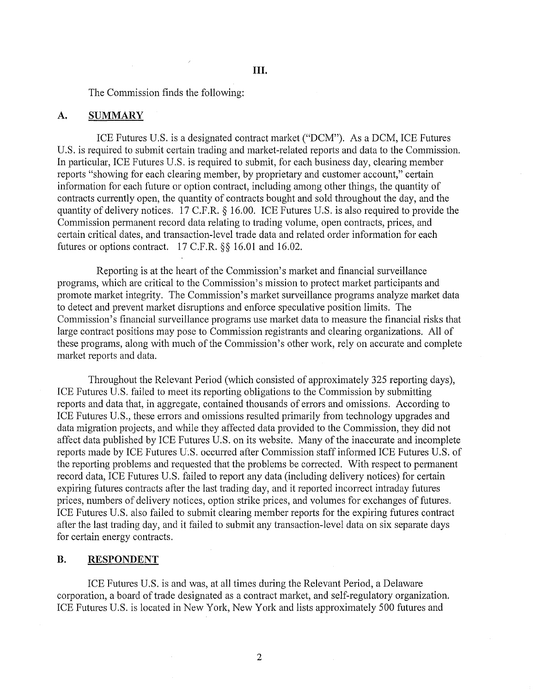The Commission finds the following:

### A. **SUMMARY**

ICE Futures U.S. is a designated contract market ("DCM"). As a DCM, ICE Futures U.S. is required to submit certain trading and market-related reports and data to the Commission. In particular, ICE Futures U.S. is required to submit, for each business day, clearing member reports "showing for each clearing member, by proprietary and customer account," certain information for each future or option contract, including among other things, the quantity of contracts currently open, the quantity of contracts bought and sold throughout the day, and the quantity of delivery notices. 17 C.F.R. *§* 16.00. ICE Futures U.S. is also required to provide the Commission permanent record data relating to trading volume, open contracts, prices, and certain critical dates, and transaction-level trade data and related order information for each futures or options contract. 17 C.F.R. §§ 16.01 and 16.02.

Reporting is at the heart of the Commission's market and financial surveillance programs, which are critical to the Commission's mission to protect market participants and promote market integrity. The Commission's market surveillance programs analyze market data to detect and prevent market disruptions and enforce speculative position limits. The Commission's financial surveillance programs use market data to measure the financial risks that large contract positions may pose to Commission registrants and clearing organizations. All of these programs, along with much of the Commission's other work, rely on accurate and complete market reports and data.

Throughout the Relevant Period (which consisted of approximately 325 reporting days), ICE Futures U.S. failed to meet its reporting obligations to the Commission by submitting reports and data that, in aggregate, contained thousands of errors and omissions. According to ICE Futures U.S., these errors and omissions resulted primarily from technology upgrades and data migration projects, and while they affected data provided to the Commission, they did not affect data published by ICE Futures U.S. on its website. Many of the inaccurate and incomplete reports made by ICE Futures U.S. occurred after Commission staff informed ICE Futures U.S. of the reporting problems and requested that the problems be corrected. With respect to permanent record data, ICE Futures U.S. failed to report any data (including delivery notices) for certain expiring futures contracts after the last trading day, and it reported incorrect intraday futures prices, numbers of delivery notices, option strike prices, and volumes for exchanges of futures. ICE Futures U.S. also failed to submit clearing member reports for the expiring futures contract after the last trading day, and it failed to submit any transaction-level data on six separate days for certain energy contracts.

# **B. RESPONDENT**

ICE Futures U.S. is and was, at all times during the Relevant Period, a Delaware corporation, a board of trade designated as a contract market, and self-regulatory organization. ICE Futures U.S. is located in New York, New York and lists approximately 500 futures and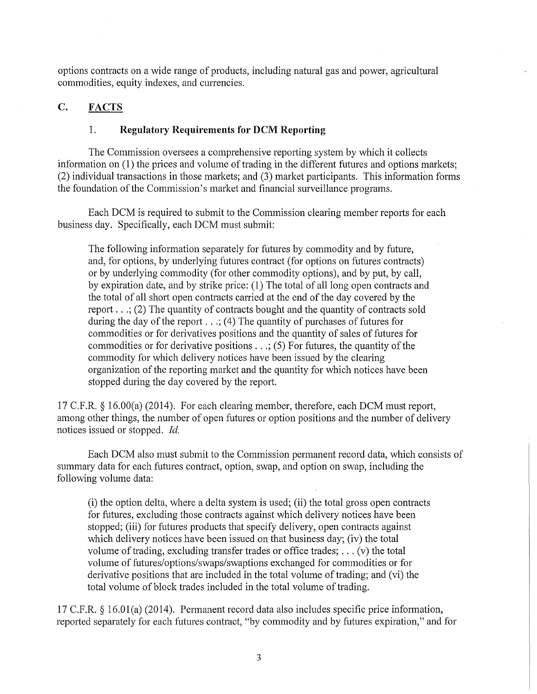options contracts on a wide range of products, including natural gas and power, agricultural commodities, equity indexes, and currencies.

# C. FACTS

# 1. **Regulatory Requirements for DCM Reporting**

The Commission oversees a comprehensive reporting system by which it collects information on  $(1)$  the prices and volume of trading in the different futures and options markets; (2) individual transactions in those markets; and (3) market participants. This information forms the foundation of the Commission's market and financial surveillance programs.

Each DCM is required to submit to the Commission clearing member reports for each business day. Specifically, each DCM must submit:

The following information separately for futures by commodity and by future, and, for options, by underlying futures contract (for options on futures contracts) or by underlying commodity (for other commodity options), and by put, by call, by expiration date, and by strike price: (1) The total of all long open contracts and the total of all short open contracts carried at the end of the day covered by the report  $\ldots$ ; (2) The quantity of contracts bought and the quantity of contracts sold during the day of the report ... ; (4) The quantity of purchases of futures for commodities or for derivatives positions and the quantity of sales of futures for commodities or for derivative positions  $\dots$ ; (5) For futures, the quantity of the commodity for which delivery notices have been issued by the clearing organization of the reporting market and the quantity for which notices have been stopped during the day covered by the report.

17 C.P.R. § 16.00(a) (2014). For each clearing member, therefore, each DCM must report, among other things, the number of open futures or option positions and the number of delivery notices issued or stopped. *Id.* 

Each DCM also must submit to the Commission permanent record data, which consists of summary data for each futures contract, option, swap, and option on swap, including the following volume data:

(i) the option delta, where a delta system is used; (ii) the total gross open contracts for futures, excluding those contracts against which delivery notices have been stopped; (iii) for futures products that specify delivery, open contracts against which delivery notices have been issued on that business day; (iv) the total volume of trading, excluding transfer trades or office trades; ... (v) the total volume of futures/options/swaps/swaptions exchanged for commodities or for derivative positions that are included in the total volume of trading; and (vi) the total volume of block trades included in the total volume of trading.

17 C.P.R. § 16.01(a) (2014). Permanent record data also includes specific price information, reported separately for each futures contract, "by commodity and by futures expiration," and for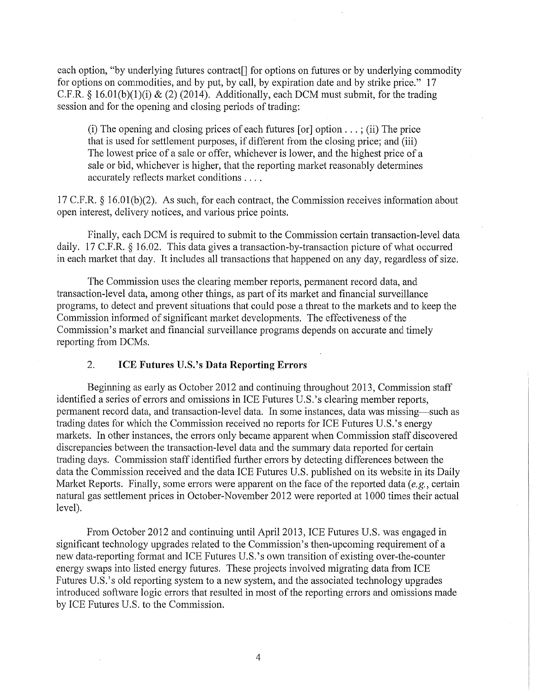each option, "by underlying futures contract<sup>[]</sup> for options on futures or by underlying commodity for options on commodities, and by put, by call, by expiration date and by strike price." 17 C.F.R. § 16.01(b)(1)(i) & (2) (2014). Additionally, each DCM must submit, for the trading session and for the opening and closing periods of trading:

(i) The opening and closing prices of each futures  $\lceil$  or  $\rceil$  option  $\dots$ ; (ii) The price that is used for settlement purposes, if different from the closing price; and (iii) The lowest price of a sale or offer, whichever is lower, and the highest price of a sale or bid, whichever is higher, that the reporting market reasonably determines accurately reflects market conditions ....

17 C.F.R. § 16.01(b)(2). As such, for each contract, the Commission receives information about open interest, delivery notices, and various price points.

Finally, each DCM is required to submit to the Commission certain transaction-level data daily. 17 C.F.R. § 16.02. This data gives a transaction-by-transaction picture of what occurred in each market that day. It includes all transactions that happened on any day, regardless of size.

The Commission uses the clearing member reports, permanent record data, and transaction-level data, among other things, as part of its market and financial surveillance programs, to detect and prevent situations that could pose a threat to the markets and to keep the Commission informed of significant market developments. The effectiveness of the Commission's market and financial surveillance programs depends on accurate and timely reporting from DCMs.

## 2. **ICE Futures** U.S.'s **Data Reporting Errors**

Beginning as early as October 2012 and continuing throughout 2013, Commission staff identified a series of errors and omissions in ICE Futures U.S.'s clearing member reports, permanent record data, and transaction-level data. In some instances, data was missing-such as trading dates for which the Commission received no reports for ICE Futures U.S.'s energy markets. In other instances, the errors only became apparent when Commission staff discovered discrepancies between the transaction-level data and the summary data reported for certain trading days. Commission staff identified further errors by detecting differences between the data the Commission received and the data ICE Futures U.S. published on its website in its Daily Market Reports. Finally, some errors were apparent on the face of the reported data *(e.g., certain*) natural gas settlement prices in October-November 2012 were reported at 1000 times their actual level).

From October 2012 and continuing until April 2013, ICE Futures U.S. was engaged in significant technology upgrades related to the Commission's then-upcoming requirement of a new data-reporting format and ICE Futures U.S.'s own transition of existing over-the-counter energy swaps into listed energy futures. These projects involved migrating data from ICE Futures U.S.'s old reporting system to a new system, and the associated technology upgrades introduced software logic errors that resulted in most of the reporting errors and omissions made by ICE Futures U.S. to the Commission.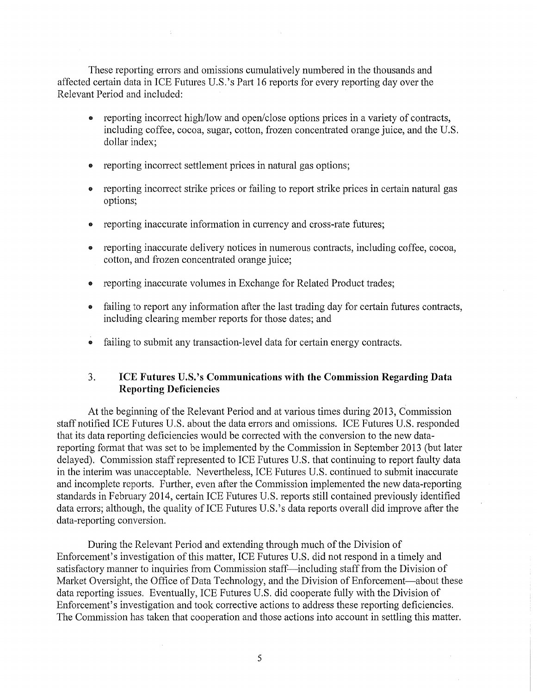These reporting errors and omissions cumulatively numbered in the thousands and affected certain data in ICE Futures U.S.'s Part 16 reports for every reporting day over the Relevant Period and included:

- reporting incorrect high/low and open/close options prices in a variety of contracts, including coffee, cocoa, sugar, cotton, frozen concentrated orange juice, and the U.S. dollar index;
- reporting incorrect settlement prices in natural gas options;
- reporting incorrect strike prices or failing to report strike prices in certain natural gas options;
- reporting inaccurate information in currency and cross-rate futures;
- reporting inaccurate delivery notices in numerous contracts, including coffee, cocoa, cotton, and frozen concentrated orange juice;
- reporting inaccurate volumes in Exchange for Related Product trades;
- failing to report any information after the last trading day for certain futures contracts, including clearing member reports for those dates; and
- failing to submit any transaction-level data for certain energy contracts.

## 3. **ICE Futures** U.S.'s **Communications with the Commission Regarding Data Reporting Deficiencies**

At the beginning of the Relevant Period and at various times during 2013, Commission staff notified ICE Futures U.S. about the data errors and omissions. ICE Futures U.S. responded that its data reporting deficiencies would be corrected with the conversion to the new datareporting format that was set to be implemented by the Commission in September 2013 (but later delayed). Commission staff represented to ICE Futures U.S. that continuing to report faulty data in the interim was unacceptable. Nevertheless, ICE Futures U.S. continued to submit inaccurate and incomplete reports. Further, even after the Commission implemented the new data-reporting standards in February 2014, certain ICE Futures U.S. reports still contained previously identified data errors; although, the quality of ICE Futures U.S.'s data reports overall did improve after the data-reporting conversion.

During the Relevant Period and extending through much of the Division of Enforcement's investigation of this matter, ICE Futures U.S. did not respond in a timely and satisfactory manner to inquiries from Commission staff-including staff from the Division of Market Oversight, the Office of Data Technology, and the Division of Enforcement-about these data reporting issues. Eventually, ICE Futures U.S. did cooperate fully with the Division of Enforcement's investigation and took corrective actions to address these reporting deficiencies. The Commission has taken that cooperation and those actions into account in settling this matter.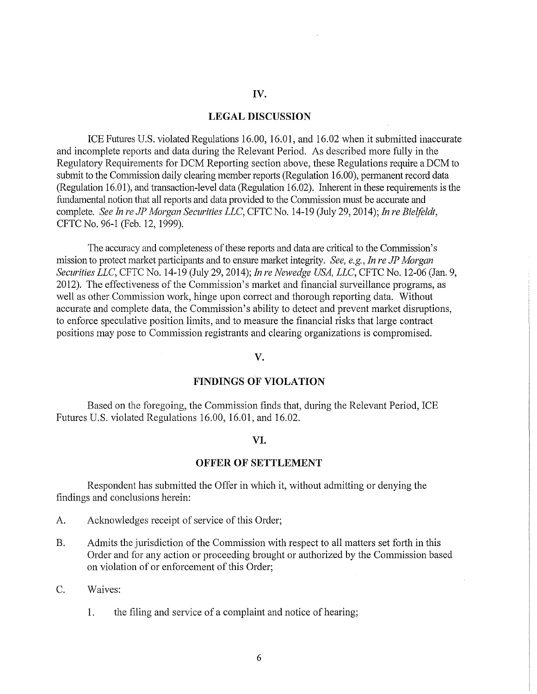## IV.

### LEGAL DISCUSSION

ICE Futures U.S. violated Regulations 16.00, 16.01, and 16.02 when it submitted inaccurate and incomplete reports and data during the Relevant Period. As described more fully in the Regulatory Requirements for DCM Reporting section above, these Regulations require a DCM to submit to the Commission daily clearing member reports (Regulation 16.00), permanent record data (Regulation 16.01 ), and transaction-level data (Regulation 16.02). Inherent in these requirements is the fundamental notion that all reports and data provided to the Commission must be accurate and complete. *See In re JP Morgan Securities LLC,* CFTC No. 14-19 (July 29, 2014); *In re Bielfeldt,*  CFTC No. 96-1 (Feb. 12, 1999).

The accuracy and completeness of these reports and data are critical to the Commission's mission to protect market participants and to ensure market integrity. *See, e.g., In re JP Morgan Securities LLC,* CFTC No. 14-19 (July 29, 2014); *In re Newedge USA, LLC,* CFTC No. 12-06 (Jan. 9, 2012). The effectiveness of the Commission's market and financial surveillance programs, as well as other Commission work, hinge upon correct and thorough reporting data. Without accurate and complete data, the Commission's ability to detect and prevent market disruptions, to enforce speculative position limits, and to measure the financial risks that large contract positions may pose to Commission registrants and clearing organizations is compromised.

#### v.

#### FINDINGS OF VIOLATION

Based on the foregoing, the Commission finds that, during the Relevant Period, ICE Futures U.S. violated Regulations 16.00, 16.01, and 16.02.

#### VI.

#### OFFER OF SETTLEMENT

Respondent has submitted the Offer in which it, without admitting or denying the findings and conclusions herein:

- A. Acknowledges receipt of service of this Order;
- B. Admits the jurisdiction of the Commission with respect to all matters set forth in this Order and for any action or proceeding brought or authorized by the Commission based on violation of or enforcement of this Order;
- C. Waives:
	- 1. the filing and service of a complaint and notice of hearing;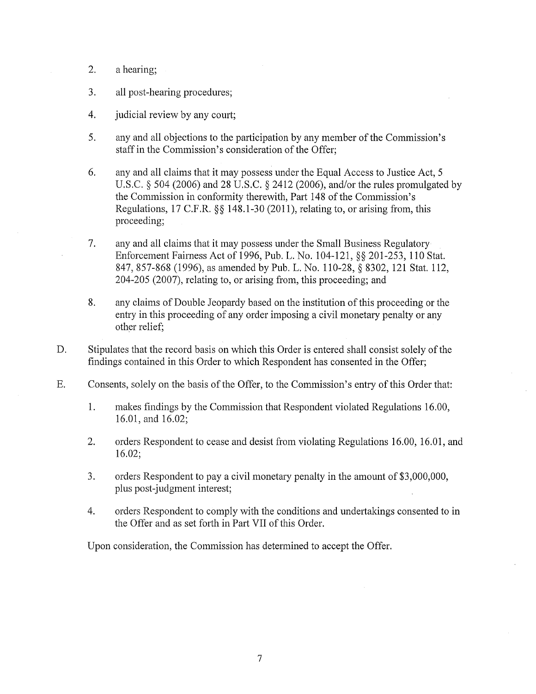- 2. a hearing;
- 3. all post-hearing procedures;
- 4. judicial review by any court;
- 5. any and all objections to the participation by any member of the Commission's staff in the Commission's consideration of the Offer;
- 6. any and all claims that it may possess under the Equal Access to Justice Act, 5 U.S.C. § 504 (2006) and 28 U.S.C. § 2412 (2006), and/or the rules promulgated by the Commission in conformity therewith, Part 148 of the Commission's Regulations, 17 C.F.R. §§ 148.1-30 (2011), relating to, or arising from, this proceeding;
- 7. any and all claims that it may possess under the Small Business Regulatory Enforcement Fairness Act of 1996, Pub. L. No. 104-121, §§ 201-253, 110 Stat. 847, 857-868 (1996), as amended by Pub. L. No. 110-28, § 8302, 121 Stat. 112, 204-205 (2007), relating to, or arising from, this proceeding; and
- 8. any claims of Double Jeopardy based on the institution of this proceeding or the entry in this proceeding of any order imposing a civil monetary penalty or any other relief;
- D. Stipulates that the record basis on which this Order is entered shall consist solely of the findings contained in this Order to which Respondent has consented in the Offer;
- E. Consents, solely on the basis of the Offer, to the Commission's entry of this Order that:
	- 1. makes findings by the Commission that Respondent violated Regulations 16.00, 16.01, and 16.02;
	- 2. orders Respondent to cease and desist from violating Regulations 16.00, 16.01, and 16.02;
	- 3. orders Respondent to pay a civil monetary penalty in the amount of \$3,000,000, plus post-judgment interest;
	- 4. orders Respondent to comply with the conditions and undertakings consented to in the Offer and as set forth in Part VII of this Order.

Upon consideration, the Commission has determined to accept the Offer.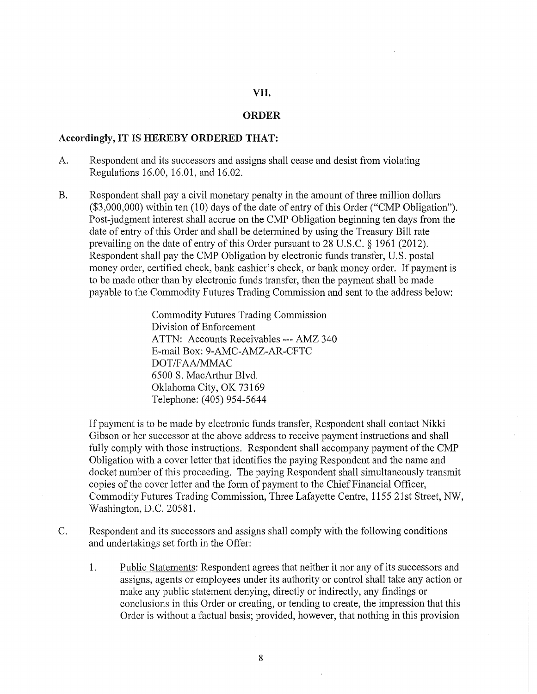# VII.

#### **ORDER**

#### **Accordingly, IT IS HEREBY ORDERED THAT:**

- A. Respondent and its successors and assigns shall cease and desist from violating Regulations 16.00, 16.01, and 16.02.
- B. Respondent shall pay a civil monetary penalty in the amount of three million dollars  $($3,000,000)$  within ten  $(10)$  days of the date of entry of this Order ("CMP Obligation"). Post-judgment interest shall accrue on the CMP Obligation beginning ten days from the date of entry of this Order and shall be determined by using the Treasury Bill rate prevailing on the date of entry of this Order pursuant to 28 U.S.C. § 1961 (2012). Respondent shall pay the CMP Obligation by electronic funds transfer, U.S. postal money order, certified check, bank cashier's check, or bank money order. If payment is to be made other than by electronic funds transfer, then the payment shall be made payable to the Commodity Futures Trading Commission and sent to the address below:

Commodity Futures Trading Commission Division of Enforcement ATTN: Accounts Receivables--- AMZ 340 E-mail Box: 9-AMC-AMZ-AR-CFTC DOT *IF* AA/MMAC 6500 S. MacAtihur Blvd. Oklahoma City, OK 73169 Telephone: (405) 954-5644

If payment is to be made by electronic funds transfer, Respondent shall contact Nikki Gibson or her successor at the above address to receive payment instructions and shall fully comply with those instructions. Respondent shall accompany payment of the CMP Obligation with a cover letter that identifies the paying Respondent and the name and docket number of this proceeding. The paying Respondent shall simultaneously transmit copies of the cover letter and the form of payment to the Chief Financial Officer, Commodity Futures Trading Commission, Three Lafayette Centre, 1155 21st Street, NW, Washington, D.C. 20581.

- C. Respondent and its successors and assigns shall comply with the following conditions and undertakings set forth in the Offer:
	- 1. Public Statements: Respondent agrees that neither it nor any of its successors and assigns, agents or employees under its authority or control shall take any action or make any public statement denying, directly or indirectly, any findings or conclusions in this Order or creating, or tending to create, the impression that this Order is without a factual basis; provided, however, that nothing in this provision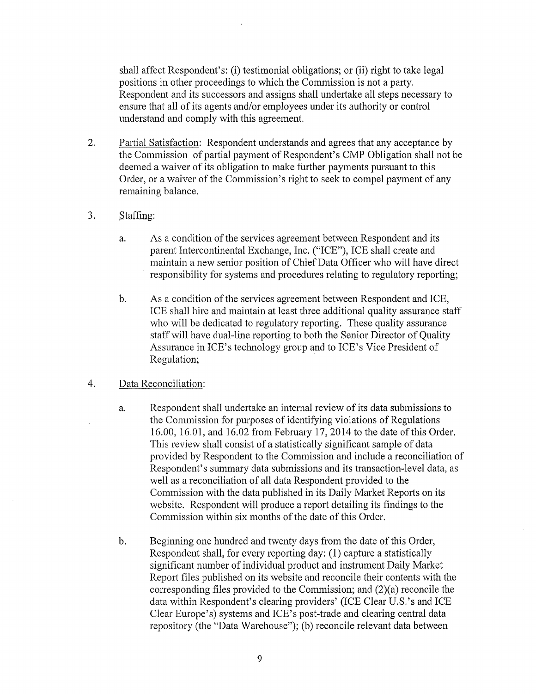shall affect Respondent's: (i) testimonial obligations; or (ii) right to take legal positions in other proceedings to which the Commission is not a party. Respondent and its successors and assigns shall undertake all steps necessary to ensure that all of its agents and/or employees under its authority or control understand and comply with this agreement.

- 2. Partial Satisfaction: Respondent understands and agrees that any acceptance by the Commission of partial payment of Respondent's CMP Obligation shall not be deemed a waiver of its obligation to make further payments pursuant to this Order, or a waiver of the Commission's right to seek to compel payment of any remaining balance.
- 3. Staffing:
	- a. As a condition of the services agreement between Respondent and its parent Intercontinental Exchange, Inc. ("ICE"), ICE shall create and maintain a new senior position of Chief Data Officer who will have direct responsibility for systems and procedures relating to regulatory reporting;
	- b. As a condition of the services agreement between Respondent and ICE, ICE shall hire and maintain at least three additional quality assurance staff who will be dedicated to regulatory reporting. These quality assurance staff will have dual-line reporting to both the Senior Director of Quality Assurance in ICE's technology group and to ICE's Vice President of Regulation;
- 4. Data Reconciliation:
	- a. Respondent shall undertake an internal review of its data submissions to the Commission for purposes of identifying violations of Regulations 16.00, 16.01, and 16.02 from February 17, 2014 to the date of this Order. This review shall consist of a statistically significant sample of data provided by Respondent to the Commission and include a reconciliation of Respondent's summary data submissions and its transaction-level data, as well as a reconciliation of all data Respondent provided to the Commission with the data published in its Daily Market Reports on its website. Respondent will produce a report detailing its findings to the Commission within six months of the date of this Order.
	- b. Beginning one hundred and twenty days from the date of this Order, Respondent shall, for every reporting day: (1) capture a statistically significant number of individual product and instrument Daily Market Report files published on its website and reconcile their contents with the corresponding files provided to the Commission; and (2)(a) reconcile the data within Respondent's clearing providers' (ICE Clear U.S.'s and ICE Clear Europe's) systems and ICE's post-trade and clearing central data repository (the "Data Warehouse"); (b) reconcile relevant data between